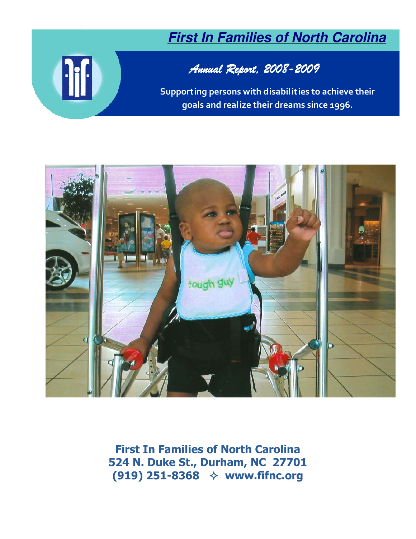# **First In Families of North Carolina**

# <sup>1</sup>

# Annual Report, 2008- Annual Report, 2008-2009

Supporting persons with disabilities to achieve their goals and realize their dreams since 1996.



First In Families of North Carolina 524 N. Duke St., Durham, NC 27701 (919) 251-8368 www.fifnc.org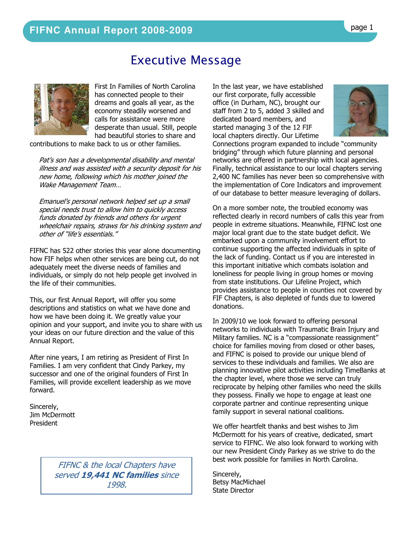# Executive Message



First In Families of North Carolina has connected people to their dreams and goals all year, as the economy steadily worsened and calls for assistance were more desperate than usual. Still, people had beautiful stories to share and

contributions to make back to us or other families.

Pat's son has a developmental disability and mental illness and was assisted with a security deposit for his new home, following which his mother joined the Wake Management Team…

Emanuel's personal network helped set up a small special needs trust to allow him to quickly access funds donated by friends and others for urgent wheelchair repairs, straws for his drinking system and other of "life's essentials."

FIFNC has 522 other stories this year alone documenting how FIF helps when other services are being cut, do not adequately meet the diverse needs of families and individuals, or simply do not help people get involved in the life of their communities.

This, our first Annual Report, will offer you some descriptions and statistics on what we have done and how we have been doing it. We greatly value your opinion and your support, and invite you to share with us your ideas on our future direction and the value of this Annual Report.

After nine years, I am retiring as President of First In Families. I am very confident that Cindy Parkey, my successor and one of the original founders of First In Families, will provide excellent leadership as we move forward.

Sincerely, Jim McDermott President

> FIFNC & the local Chapters have served 19,441 NC families since 1998.

In the last year, we have established our first corporate, fully accessible office (in Durham, NC), brought our staff from 2 to 5, added 3 skilled and dedicated board members, and started managing 3 of the 12 FIF local chapters directly. Our Lifetime



Connections program expanded to include "community bridging" through which future planning and personal networks are offered in partnership with local agencies. Finally, technical assistance to our local chapters serving 2,400 NC families has never been so comprehensive with the implementation of Core Indicators and improvement of our database to better measure leveraging of dollars.

On a more somber note, the troubled economy was reflected clearly in record numbers of calls this year from people in extreme situations. Meanwhile, FIFNC lost one major local grant due to the state budget deficit. We embarked upon a community involvement effort to continue supporting the affected individuals in spite of the lack of funding. Contact us if you are interested in this important initiative which combats isolation and loneliness for people living in group homes or moving from state institutions. Our Lifeline Project, which provides assistance to people in counties not covered by FIF Chapters, is also depleted of funds due to lowered donations.

In 2009/10 we look forward to offering personal networks to individuals with Traumatic Brain Injury and Military families. NC is a "compassionate reassignment" choice for families moving from closed or other bases, and FIFNC is poised to provide our unique blend of services to these individuals and families. We also are planning innovative pilot activities including TimeBanks at the chapter level, where those we serve can truly reciprocate by helping other families who need the skills they possess. Finally we hope to engage at least one corporate partner and continue representing unique family support in several national coalitions.

We offer heartfelt thanks and best wishes to Jim McDermott for his years of creative, dedicated, smart service to FIFNC. We also look forward to working with our new President Cindy Parkey as we strive to do the best work possible for families in North Carolina.

Sincerely, Betsy MacMichael State Director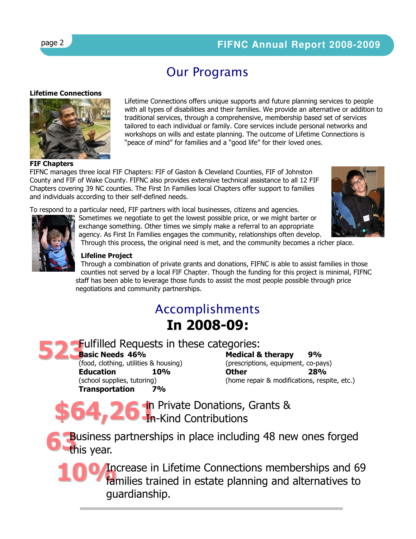## page 2 **FIFNC Annual Report 2008-2009**

# Our Programs

### Lifetime Connections



Lifetime Connections offers unique supports and future planning services to people with all types of disabilities and their families. We provide an alternative or addition to traditional services, through a comprehensive, membership based set of services tailored to each individual or family. Core services include personal networks and workshops on wills and estate planning. The outcome of Lifetime Connections is "peace of mind" for families and a "good life" for their loved ones.

### FIF Chapters

FIFNC manages three local FIF Chapters: FIF of Gaston & Cleveland Counties, FIF of Johnston County and FIF of Wake County. FIFNC also provides extensive technical assistance to all 12 FIF Chapters covering 39 NC counties. The First In Families local Chapters offer support to families and individuals according to their self-defined needs.

To respond to a particular need, FIF partners with local businesses, citizens and agencies.



Sometimes we negotiate to get the lowest possible price, or we might barter or exchange something. Other times we simply make a referral to an appropriate agency. As First In Families engages the community, relationships often develop.



Through this process, the original need is met, and the community becomes a richer place.

### Lifeline Project

Through a combination of private grants and donations, FIFNC is able to assist families in those counties not served by a local FIF Chapter. Though the funding for this project is minimal, FIFNC staff has been able to leverage those funds to assist the most people possible through price negotiations and community partnerships.

# Accomplishments In 2008-09:

# 523 Fulfilled Requests in these categories:

Basic Needs 46%

(food, clothing, utilities & housing) Education 10% (school supplies, tutoring) Transportation 7%

Medical & therapy 9% (prescriptions, equipment, co-pays) Other 28% (home repair & modifications, respite, etc.)

\$64,26 in Private Donations, Grants & In-Kind Contributions

**6** Business I Business partnerships in place including 48 new ones forged

100 *Increase in Lifetime Connections memberships and 69*<br>**Internatives of amilies trained in estate planning and alternatives to** families trained in estate planning and alternatives to guardianship.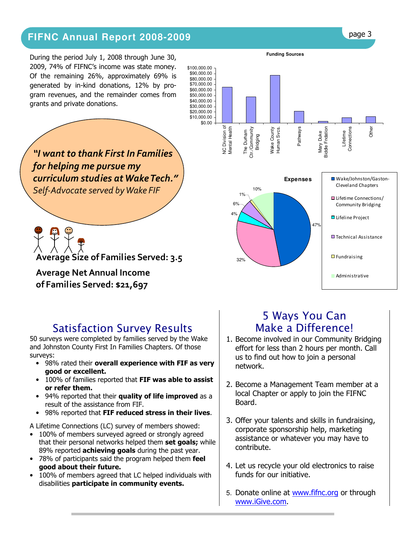# Financial Report page 3 **FIFNC Annual Report 2008-2009**

During the period July 1, 2008 through June 30, 2009, 74% of FIFNC's income was state money. Of the remaining 26%, approximately 69% is generated by in-kind donations, 12% by program revenues, and the remainder comes from grants and private donations.

"I want to thank First In Families for helping me pursue my curriculum studies at Wake Tech." Self-Advocate served by Wake FIF

Average Size of Families Served: 3.5

### Average Net Annual Income of Families Served: \$21,697

# Satisfaction Survey Results

50 surveys were completed by families served by the Wake and Johnston County First In Families Chapters. Of those surveys:

- 98% rated their overall experience with FIF as very good or excellent.
- 100% of families reported that FIF was able to assist or refer them.
- 94% reported that their quality of life improved as a result of the assistance from FIF.
- 98% reported that FIF reduced stress in their lives.

A Lifetime Connections (LC) survey of members showed:

- 100% of members surveyed agreed or strongly agreed that their personal networks helped them set goals; while 89% reported **achieving goals** during the past year.
- 78% of participants said the program helped them feel good about their future.
- 100% of members agreed that LC helped individuals with disabilities participate in community events.



# 5 Ways You Can Make a Difference!

- 1. Become involved in our Community Bridging effort for less than 2 hours per month. Call us to find out how to join a personal network.
- 2. Become a Management Team member at a local Chapter or apply to join the FIFNC Board.
- 3. Offer your talents and skills in fundraising, corporate sponsorship help, marketing assistance or whatever you may have to contribute.
- 4. Let us recycle your old electronics to raise funds for our initiative.
- 5. Donate online at www.fifnc.org or through www.iGive.com.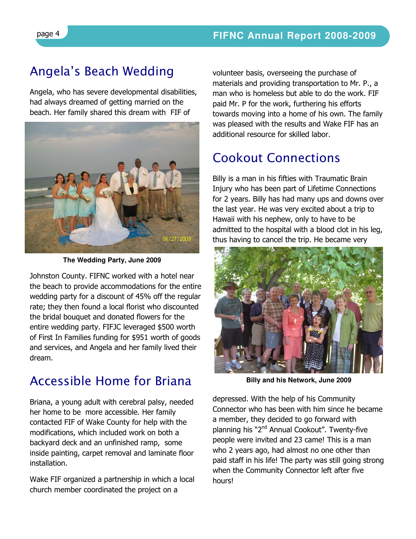# Angela's Beach Wedding

Angela, who has severe developmental disabilities, had always dreamed of getting married on the beach. Her family shared this dream with FIF of



**The Wedding Party, June 2009**

Johnston County. FIFNC worked with a hotel near the beach to provide accommodations for the entire wedding party for a discount of 45% off the regular rate; they then found a local florist who discounted the bridal bouquet and donated flowers for the entire wedding party. FIFJC leveraged \$500 worth of First In Families funding for \$951 worth of goods and services, and Angela and her family lived their dream.

# Accessible Home for Briana

Briana, a young adult with cerebral palsy, needed her home to be more accessible. Her family contacted FIF of Wake County for help with the modifications, which included work on both a backyard deck and an unfinished ramp, some inside painting, carpet removal and laminate floor installation.

Wake FIF organized a partnership in which a local church member coordinated the project on a

volunteer basis, overseeing the purchase of materials and providing transportation to Mr. P., a man who is homeless but able to do the work. FIF paid Mr. P for the work, furthering his efforts towards moving into a home of his own. The family was pleased with the results and Wake FIF has an additional resource for skilled labor.

# Cookout Connections

Billy is a man in his fifties with Traumatic Brain Injury who has been part of Lifetime Connections for 2 years. Billy has had many ups and downs over the last year. He was very excited about a trip to Hawaii with his nephew, only to have to be admitted to the hospital with a blood clot in his leg, thus having to cancel the trip. He became very



**Billy and his Network, June 2009**

depressed. With the help of his Community Connector who has been with him since he became a member, they decided to go forward with planning his "2<sup>nd</sup> Annual Cookout". Twenty-five people were invited and 23 came! This is a man who 2 years ago, had almost no one other than paid staff in his life! The party was still going strong when the Community Connector left after five hours!